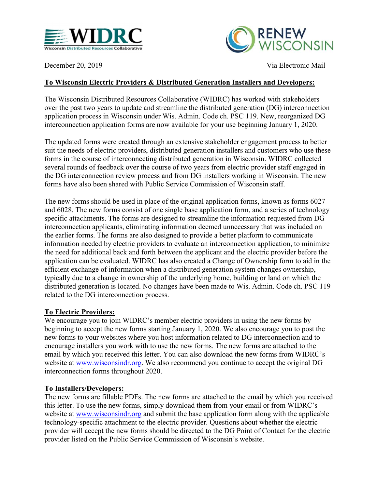



December 20, 2019 Via Electronic Mail

## To Wisconsin Electric Providers & Distributed Generation Installers and Developers:

The Wisconsin Distributed Resources Collaborative (WIDRC) has worked with stakeholders over the past two years to update and streamline the distributed generation (DG) interconnection application process in Wisconsin under Wis. Admin. Code ch. PSC 119. New, reorganized DG interconnection application forms are now available for your use beginning January 1, 2020.

The updated forms were created through an extensive stakeholder engagement process to better suit the needs of electric providers, distributed generation installers and customers who use these forms in the course of interconnecting distributed generation in Wisconsin. WIDRC collected several rounds of feedback over the course of two years from electric provider staff engaged in the DG interconnection review process and from DG installers working in Wisconsin. The new forms have also been shared with Public Service Commission of Wisconsin staff.

The new forms should be used in place of the original application forms, known as forms 6027 and 6028. The new forms consist of one single base application form, and a series of technology specific attachments. The forms are designed to streamline the information requested from DG interconnection applicants, eliminating information deemed unnecessary that was included on the earlier forms. The forms are also designed to provide a better platform to communicate information needed by electric providers to evaluate an interconnection application, to minimize the need for additional back and forth between the applicant and the electric provider before the application can be evaluated. WIDRC has also created a Change of Ownership form to aid in the efficient exchange of information when a distributed generation system changes ownership, typically due to a change in ownership of the underlying home, building or land on which the distributed generation is located. No changes have been made to Wis. Admin. Code ch. PSC 119 related to the DG interconnection process.

## To Electric Providers:

We encourage you to join WIDRC's member electric providers in using the new forms by beginning to accept the new forms starting January 1, 2020. We also encourage you to post the new forms to your websites where you host information related to DG interconnection and to encourage installers you work with to use the new forms. The new forms are attached to the email by which you received this letter. You can also download the new forms from WIDRC's website at www.wisconsindr.org. We also recommend you continue to accept the original DG interconnection forms throughout 2020.

## To Installers/Developers:

The new forms are fillable PDFs. The new forms are attached to the email by which you received this letter. To use the new forms, simply download them from your email or from WIDRC's website at www.wisconsindr.org and submit the base application form along with the applicable technology-specific attachment to the electric provider. Questions about whether the electric provider will accept the new forms should be directed to the DG Point of Contact for the electric provider listed on the Public Service Commission of Wisconsin's website.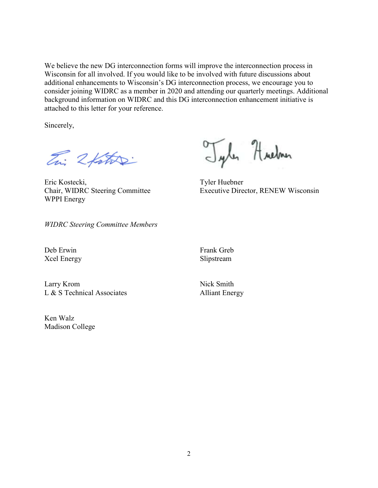We believe the new DG interconnection forms will improve the interconnection process in Wisconsin for all involved. If you would like to be involved with future discussions about additional enhancements to Wisconsin's DG interconnection process, we encourage you to consider joining WIDRC as a member in 2020 and attending our quarterly meetings. Additional background information on WIDRC and this DG interconnection enhancement initiative is attached to this letter for your reference.

Sincerely,

En: 2 father

Eric Kostecki, Tyler Huebner WPPI Energy

Tyles Hueban

Chair, WIDRC Steering Committee Executive Director, RENEW Wisconsin

WIDRC Steering Committee Members

Deb Erwin Frank Greb Xcel Energy Slipstream

Larry Krom Nick Smith L & S Technical Associates Alliant Energy

Ken Walz Madison College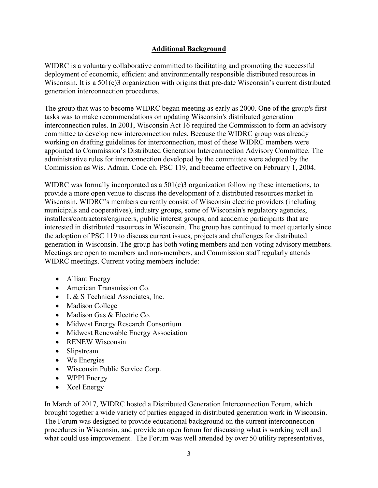## Additional Background

WIDRC is a voluntary collaborative committed to facilitating and promoting the successful deployment of economic, efficient and environmentally responsible distributed resources in Wisconsin. It is a 501(c)3 organization with origins that pre-date Wisconsin's current distributed generation interconnection procedures.

The group that was to become WIDRC began meeting as early as 2000. One of the group's first tasks was to make recommendations on updating Wisconsin's distributed generation interconnection rules. In 2001, Wisconsin Act 16 required the Commission to form an advisory committee to develop new interconnection rules. Because the WIDRC group was already working on drafting guidelines for interconnection, most of these WIDRC members were appointed to Commission's Distributed Generation Interconnection Advisory Committee. The administrative rules for interconnection developed by the committee were adopted by the Commission as Wis. Admin. Code ch. PSC 119, and became effective on February 1, 2004.

WIDRC was formally incorporated as a 501(c)3 organization following these interactions, to provide a more open venue to discuss the development of a distributed resources market in Wisconsin. WIDRC's members currently consist of Wisconsin electric providers (including municipals and cooperatives), industry groups, some of Wisconsin's regulatory agencies, installers/contractors/engineers, public interest groups, and academic participants that are interested in distributed resources in Wisconsin. The group has continued to meet quarterly since the adoption of PSC 119 to discuss current issues, projects and challenges for distributed generation in Wisconsin. The group has both voting members and non-voting advisory members. Meetings are open to members and non-members, and Commission staff regularly attends WIDRC meetings. Current voting members include:

- Alliant Energy
- American Transmission Co.
- L & S Technical Associates, Inc.
- Madison College
- Madison Gas & Electric Co.
- Midwest Energy Research Consortium
- Midwest Renewable Energy Association
- RENEW Wisconsin
- Slipstream
- We Energies
- Wisconsin Public Service Corp.
- WPPI Energy
- Xcel Energy

In March of 2017, WIDRC hosted a Distributed Generation Interconnection Forum, which brought together a wide variety of parties engaged in distributed generation work in Wisconsin. The Forum was designed to provide educational background on the current interconnection procedures in Wisconsin, and provide an open forum for discussing what is working well and what could use improvement. The Forum was well attended by over 50 utility representatives,